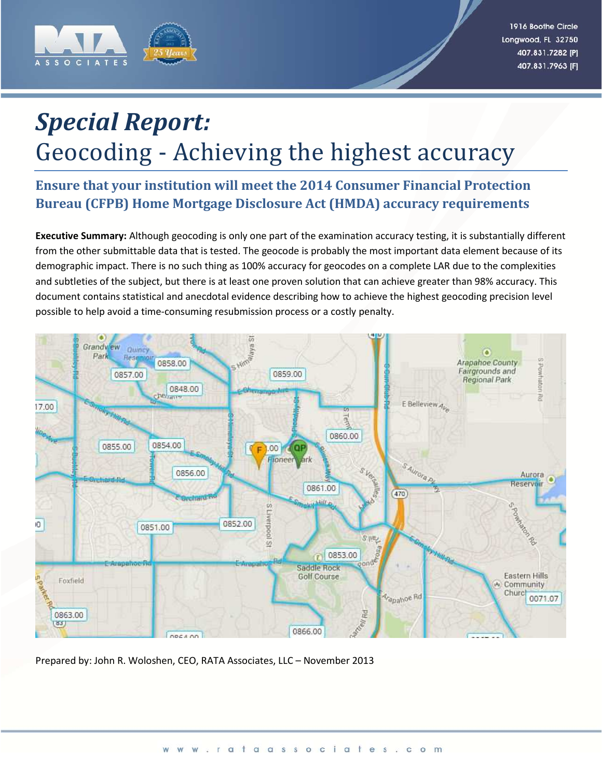

# *Special Report:* Geocoding - Achieving the highest accuracy

## **Ensure that your institution will meet the 2014 Consumer Financial Protection Bureau (CFPB) Home Mortgage Disclosure Act (HMDA) accuracy requirements**

**Executive Summary:** Although geocoding is only one part of the examination accuracy testing, it is substantially different from the other submittable data that is tested. The geocode is probably the most important data element because of its demographic impact. There is no such thing as 100% accuracy for geocodes on a complete LAR due to the complexities and subtleties of the subject, but there is at least one proven solution that can achieve greater than 98% accuracy. This document contains statistical and anecdotal evidence describing how to achieve the highest geocoding precision level possible to help avoid a time-consuming resubmission process or a costly penalty.



Prepared by: John R. Woloshen, CEO, RATA Associates, LLC – November 2013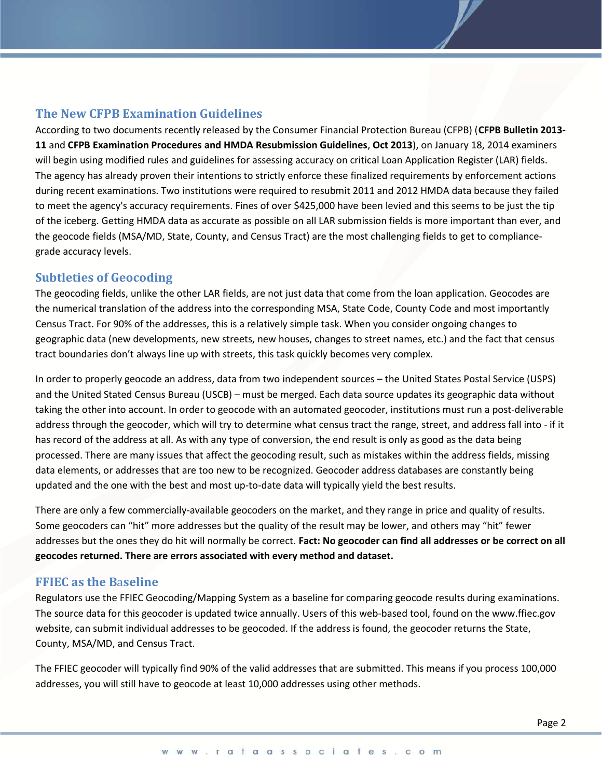## **The New CFPB Examination Guidelines**

According to two documents recently released by the Consumer Financial Protection Bureau (CFPB) (**CFPB Bulletin 2013- 11** and **CFPB Examination Procedures and HMDA Resubmission Guidelines**, **Oct 2013**), on January 18, 2014 examiners will begin using modified rules and guidelines for assessing accuracy on critical Loan Application Register (LAR) fields. The agency has already proven their intentions to strictly enforce these finalized requirements by enforcement actions during recent examinations. Two institutions were required to resubmit 2011 and 2012 HMDA data because they failed to meet the agency's accuracy requirements. Fines of over \$425,000 have been levied and this seems to be just the tip of the iceberg. Getting HMDA data as accurate as possible on all LAR submission fields is more important than ever, and the geocode fields (MSA/MD, State, County, and Census Tract) are the most challenging fields to get to compliancegrade accuracy levels.

#### **Subtleties of Geocoding**

The geocoding fields, unlike the other LAR fields, are not just data that come from the loan application. Geocodes are the numerical translation of the address into the corresponding MSA, State Code, County Code and most importantly Census Tract. For 90% of the addresses, this is a relatively simple task. When you consider ongoing changes to geographic data (new developments, new streets, new houses, changes to street names, etc.) and the fact that census tract boundaries don't always line up with streets, this task quickly becomes very complex.

In order to properly geocode an address, data from two independent sources – the United States Postal Service (USPS) and the United Stated Census Bureau (USCB) – must be merged. Each data source updates its geographic data without taking the other into account. In order to geocode with an automated geocoder, institutions must run a post-deliverable address through the geocoder, which will try to determine what census tract the range, street, and address fall into - if it has record of the address at all. As with any type of conversion, the end result is only as good as the data being processed. There are many issues that affect the geocoding result, such as mistakes within the address fields, missing data elements, or addresses that are too new to be recognized. Geocoder address databases are constantly being updated and the one with the best and most up-to-date data will typically yield the best results.

There are only a few commercially-available geocoders on the market, and they range in price and quality of results. Some geocoders can "hit" more addresses but the quality of the result may be lower, and others may "hit" fewer addresses but the ones they do hit will normally be correct. **Fact: No geocoder can find all addresses or be correct on all geocodes returned. There are errors associated with every method and dataset.**

## **FFIEC as the B**a**seline**

Regulators use the FFIEC Geocoding/Mapping System as a baseline for comparing geocode results during examinations. The source data for this geocoder is updated twice annually. Users of this web-based tool, found on the www.ffiec.gov website, can submit individual addresses to be geocoded. If the address is found, the geocoder returns the State, County, MSA/MD, and Census Tract.

The FFIEC geocoder will typically find 90% of the valid addresses that are submitted. This means if you process 100,000 addresses, you will still have to geocode at least 10,000 addresses using other methods.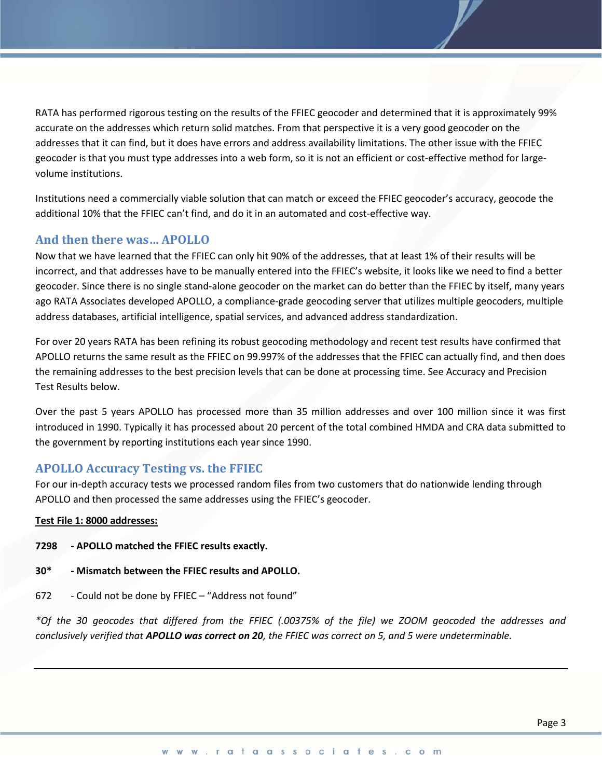RATA has performed rigorous testing on the results of the FFIEC geocoder and determined that it is approximately 99% accurate on the addresses which return solid matches. From that perspective it is a very good geocoder on the addresses that it can find, but it does have errors and address availability limitations. The other issue with the FFIEC geocoder is that you must type addresses into a web form, so it is not an efficient or cost-effective method for largevolume institutions.

Institutions need a commercially viable solution that can match or exceed the FFIEC geocoder's accuracy, geocode the additional 10% that the FFIEC can't find, and do it in an automated and cost-effective way.

## **And then there was… APOLLO**

Now that we have learned that the FFIEC can only hit 90% of the addresses, that at least 1% of their results will be incorrect, and that addresses have to be manually entered into the FFIEC's website, it looks like we need to find a better geocoder. Since there is no single stand-alone geocoder on the market can do better than the FFIEC by itself, many years ago RATA Associates developed APOLLO, a compliance-grade geocoding server that utilizes multiple geocoders, multiple address databases, artificial intelligence, spatial services, and advanced address standardization.

For over 20 years RATA has been refining its robust geocoding methodology and recent test results have confirmed that APOLLO returns the same result as the FFIEC on 99.997% of the addresses that the FFIEC can actually find, and then does the remaining addresses to the best precision levels that can be done at processing time. See Accuracy and Precision Test Results below.

Over the past 5 years APOLLO has processed more than 35 million addresses and over 100 million since it was first introduced in 1990. Typically it has processed about 20 percent of the total combined HMDA and CRA data submitted to the government by reporting institutions each year since 1990.

## **APOLLO Accuracy Testing vs. the FFIEC**

For our in-depth accuracy tests we processed random files from two customers that do nationwide lending through APOLLO and then processed the same addresses using the FFIEC's geocoder.

#### **Test File 1: 8000 addresses:**

- **7298 APOLLO matched the FFIEC results exactly.**
- **30\* Mismatch between the FFIEC results and APOLLO.**
- 672 Could not be done by FFIEC "Address not found"

*\*Of the 30 geocodes that differed from the FFIEC (.00375% of the file) we ZOOM geocoded the addresses and conclusively verified that APOLLO was correct on 20, the FFIEC was correct on 5, and 5 were undeterminable.*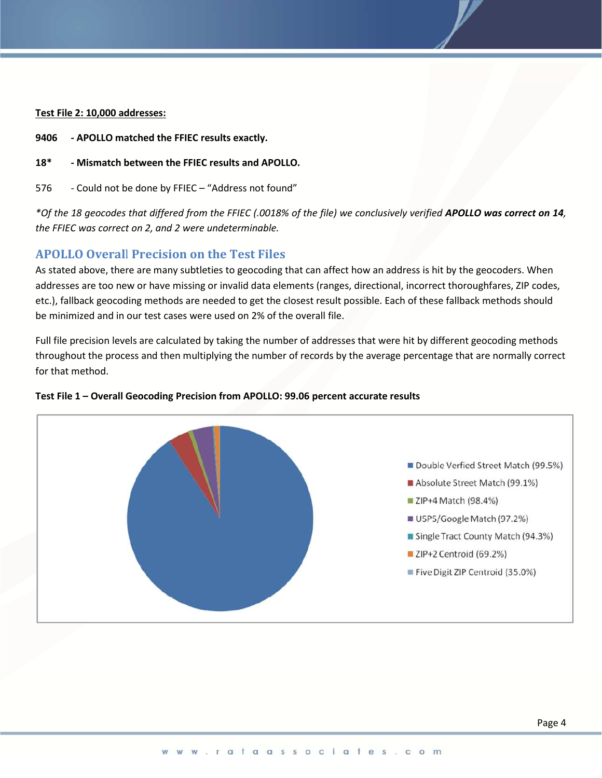#### **Test File 2: 10,000 addresses:**

- **9406 APOLLO matched the FFIEC results exactly.**
- **18\* Mismatch between the FFIEC results and APOLLO.**
- 576 Could not be done by FFIEC "Address not found"

*\*Of the 18 geocodes that differed from the FFIEC (.0018% of the file) we conclusively verified APOLLO was correct on 14, the FFIEC was correct on 2, and 2 were undeterminable.*

## **APOLLO Overal**l **Precision on the Test Files**

As stated above, there are many subtleties to geocoding that can affect how an address is hit by the geocoders. When addresses are too new or have missing or invalid data elements (ranges, directional, incorrect thoroughfares, ZIP codes, etc.), fallback geocoding methods are needed to get the closest result possible. Each of these fallback methods should be minimized and in our test cases were used on 2% of the overall file.

Full file precision levels are calculated by taking the number of addresses that were hit by different geocoding methods throughout the process and then multiplying the number of records by the average percentage that are normally correct for that method.



#### **Test File 1 – Overall Geocoding Precision from APOLLO: 99.06 percent accurate results**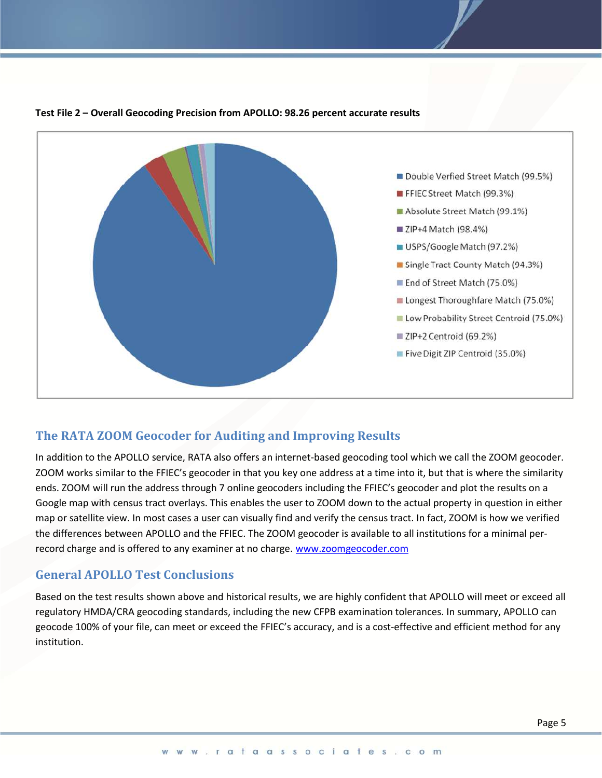

#### **Test File 2 – Overall Geocoding Precision from APOLLO: 98.26 percent accurate results**

## **The RATA ZOOM Geocoder for Auditing and Improving Results**

In addition to the APOLLO service, RATA also offers an internet-based geocoding tool which we call the ZOOM geocoder. ZOOM works similar to the FFIEC's geocoder in that you key one address at a time into it, but that is where the similarity ends. ZOOM will run the address through 7 online geocoders including the FFIEC's geocoder and plot the results on a Google map with census tract overlays. This enables the user to ZOOM down to the actual property in question in either map or satellite view. In most cases a user can visually find and verify the census tract. In fact, ZOOM is how we verified the differences between APOLLO and the FFIEC. The ZOOM geocoder is available to all institutions for a minimal perrecord charge and is offered to any examiner at no charge. [www.zoomgeocoder.com](http://www.zoomgeocoder.com/)

## **General APOLLO Test Conclusions**

Based on the test results shown above and historical results, we are highly confident that APOLLO will meet or exceed all regulatory HMDA/CRA geocoding standards, including the new CFPB examination tolerances. In summary, APOLLO can geocode 100% of your file, can meet or exceed the FFIEC's accuracy, and is a cost-effective and efficient method for any institution.